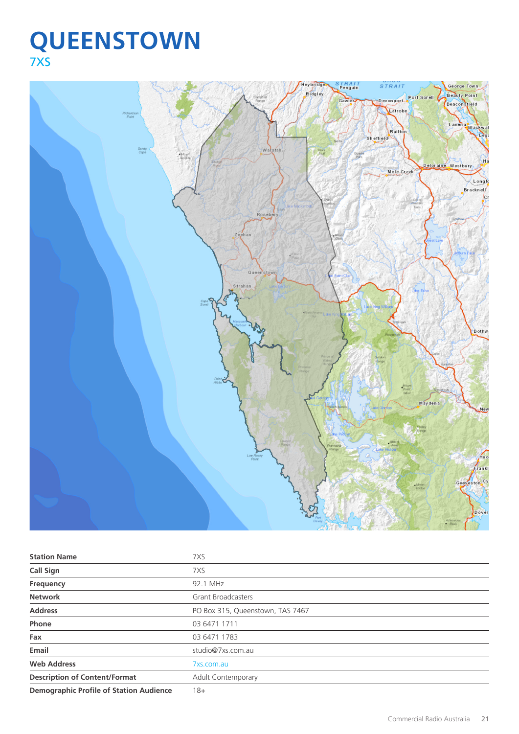# **QUEENSTOWN** 7XS



| <b>Station Name</b>                            | 7XS                              |
|------------------------------------------------|----------------------------------|
| <b>Call Sign</b>                               | 7XS                              |
| Frequency                                      | 92.1 MHz                         |
| <b>Network</b>                                 | <b>Grant Broadcasters</b>        |
| <b>Address</b>                                 | PO Box 315, Queenstown, TAS 7467 |
| Phone                                          | 03 6471 1711                     |
| Fax                                            | 03 6471 1783                     |
| Email                                          | studio@7xs.com.au                |
| <b>Web Address</b>                             | 7xs.com.au                       |
| <b>Description of Content/Format</b>           | <b>Adult Contemporary</b>        |
| <b>Demographic Profile of Station Audience</b> | $18 +$                           |

Commercial Radio Australia 21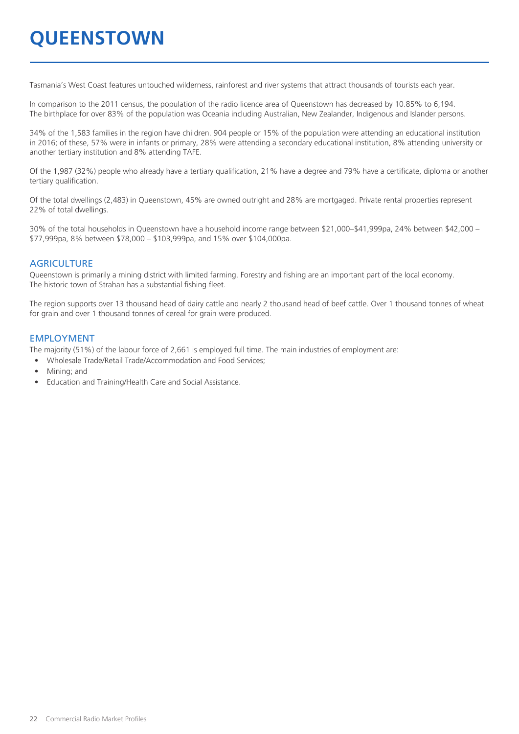# **QUEENSTOWN**

Tasmania's West Coast features untouched wilderness, rainforest and river systems that attract thousands of tourists each year.

In comparison to the 2011 census, the population of the radio licence area of Queenstown has decreased by 10.85% to 6,194. The birthplace for over 83% of the population was Oceania including Australian, New Zealander, Indigenous and Islander persons.

34% of the 1,583 families in the region have children. 904 people or 15% of the population were attending an educational institution in 2016; of these, 57% were in infants or primary, 28% were attending a secondary educational institution, 8% attending university or another tertiary institution and 8% attending TAFE.

Of the 1,987 (32%) people who already have a tertiary qualification, 21% have a degree and 79% have a certificate, diploma or another tertiary qualification.

Of the total dwellings (2,483) in Queenstown, 45% are owned outright and 28% are mortgaged. Private rental properties represent 22% of total dwellings.

30% of the total households in Queenstown have a household income range between \$21,000–\$41,999pa, 24% between \$42,000 – \$77,999pa, 8% between \$78,000 – \$103,999pa, and 15% over \$104,000pa.

#### **AGRICULTURE**

Queenstown is primarily a mining district with limited farming. Forestry and fishing are an important part of the local economy. The historic town of Strahan has a substantial fishing fleet.

The region supports over 13 thousand head of dairy cattle and nearly 2 thousand head of beef cattle. Over 1 thousand tonnes of wheat for grain and over 1 thousand tonnes of cereal for grain were produced.

#### EMPLOYMENT

The majority (51%) of the labour force of 2,661 is employed full time. The main industries of employment are:

- Wholesale Trade/Retail Trade/Accommodation and Food Services;
- Mining; and
- Education and Training/Health Care and Social Assistance.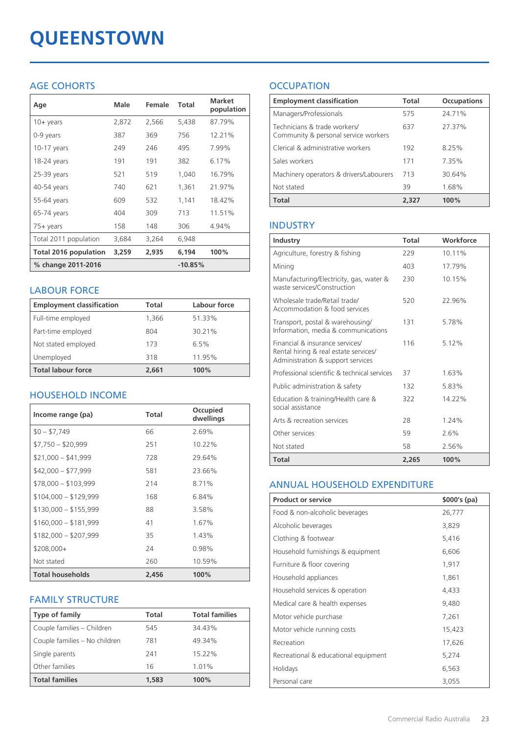# **QUEENSTOWN**

# AGE COHORTS

| Age                   | Male  | Female | Total     | <b>Market</b><br>population |
|-----------------------|-------|--------|-----------|-----------------------------|
| $10 + \gamma$ ears    | 2,872 | 2,566  | 5,438     | 87.79%                      |
| 0-9 years             | 387   | 369    | 756       | 12.21%                      |
| $10-17$ years         | 249   | 246    | 495       | 7.99%                       |
| 18-24 years           | 191   | 191    | 382       | 6.17%                       |
| $25-39$ years         | 521   | 519    | 1,040     | 16.79%                      |
| 40-54 years           | 740   | 621    | 1,361     | 21.97%                      |
| 55-64 years           | 609   | 532    | 1,141     | 18.42%                      |
| 65-74 years           | 404   | 309    | 713       | 11.51%                      |
| 75+ years             | 158   | 148    | 306       | 4.94%                       |
| Total 2011 population | 3,684 | 3,264  | 6,948     |                             |
| Total 2016 population | 3,259 | 2,935  | 6,194     | 100%                        |
| % change 2011-2016    |       |        | $-10.85%$ |                             |

## LABOUR FORCE

| <b>Employment classification</b> | Total | Labour force |
|----------------------------------|-------|--------------|
| Full-time employed               | 1,366 | 51.33%       |
| Part-time employed               | 804   | 30.21%       |
| Not stated employed              | 173   | 6.5%         |
| Unemployed                       | 318   | 11.95%       |
| <b>Total labour force</b>        | 2,661 | 100%         |

# HOUSEHOLD INCOME

| Income range (pa)       | Total | Occupied<br>dwellings |
|-------------------------|-------|-----------------------|
| $$0 - $7,749$           | 66    | 2.69%                 |
| $$7,750 - $20,999$      | 251   | 10.22%                |
| $$21,000 - $41,999$     | 728   | 29.64%                |
| $$42,000 - $77,999$     | 581   | 23.66%                |
| $$78,000 - $103,999$    | 214   | 8.71%                 |
| $$104,000 - $129,999$   | 168   | 6.84%                 |
| $$130,000 - $155,999$   | 88    | 3.58%                 |
| $$160,000 - $181,999$   | 41    | 1.67%                 |
| $$182,000 - $207,999$   | 35    | 1.43%                 |
| $$208,000+$             | 24    | 0.98%                 |
| Not stated              | 260   | 10.59%                |
| <b>Total households</b> | 2,456 | 100%                  |

### FAMILY STRUCTURE

| <b>Type of family</b>         | Total | <b>Total families</b> |
|-------------------------------|-------|-----------------------|
| Couple families - Children    | 545   | 34.43%                |
| Couple families - No children | 781   | 49.34%                |
| Single parents                | 241   | 15.22%                |
| Other families                | 16    | 1.01%                 |
| <b>Total families</b>         | 1,583 | 100%                  |

# **OCCUPATION**

| <b>Employment classification</b>                                     | <b>Total</b> | <b>Occupations</b> |
|----------------------------------------------------------------------|--------------|--------------------|
| Managers/Professionals                                               | 575          | 24.71%             |
| Technicians & trade workers/<br>Community & personal service workers | 637          | 27.37%             |
| Clerical & administrative workers                                    | 192          | 8.25%              |
| Sales workers                                                        | 171          | 7.35%              |
| Machinery operators & drivers/Labourers                              | 713          | 30.64%             |
| Not stated                                                           | 39           | 1.68%              |
| <b>Total</b>                                                         | 2.327        | 100%               |

## INDUSTRY

| Industry                                                                                                      | Total | Workforce |
|---------------------------------------------------------------------------------------------------------------|-------|-----------|
| Agriculture, forestry & fishing                                                                               | 229   | 10.11%    |
| Mining                                                                                                        | 403   | 17.79%    |
| Manufacturing/Electricity, gas, water &<br>waste services/Construction                                        | 230   | 10.15%    |
| Wholesale trade/Retail trade/<br>Accommodation & food services                                                | 520   | 22.96%    |
| Transport, postal & warehousing/<br>Information, media & communications                                       | 131   | 5.78%     |
| Financial & insurance services/<br>Rental hiring & real estate services/<br>Administration & support services | 116   | 5.12%     |
| Professional scientific & technical services                                                                  | 37    | 1.63%     |
| Public administration & safety                                                                                | 132   | 5.83%     |
| Education & training/Health care &<br>social assistance                                                       | 322   | 14.22%    |
| Arts & recreation services                                                                                    | 28    | 1.24%     |
| Other services                                                                                                | 59    | 2.6%      |
| Not stated                                                                                                    | 58    | 2.56%     |
| Total                                                                                                         | 2,265 | 100%      |

### ANNUAL HOUSEHOLD EXPENDITURE

| <b>Product or service</b>            | $$000's$ (pa) |
|--------------------------------------|---------------|
| Food & non-alcoholic beverages       | 26,777        |
| Alcoholic beverages                  | 3,829         |
| Clothing & footwear                  | 5,416         |
| Household furnishings & equipment    | 6,606         |
| Furniture & floor covering           | 1,917         |
| Household appliances                 | 1,861         |
| Household services & operation       | 4,433         |
| Medical care & health expenses       | 9,480         |
| Motor vehicle purchase               | 7,261         |
| Motor vehicle running costs          | 15,423        |
| Recreation                           | 17,626        |
| Recreational & educational equipment | 5,274         |
| Holidays                             | 6,563         |
| Personal care                        | 3,055         |